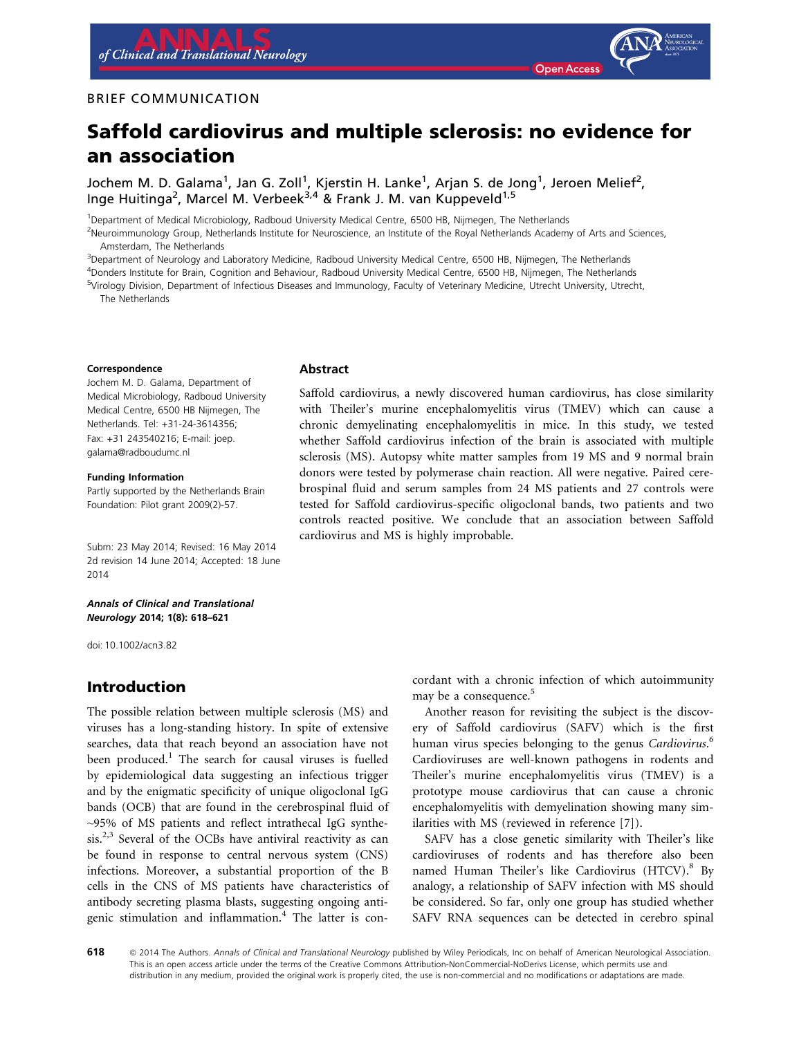### BRIEF COMMUNICATION



Jochem M. D. Galama<sup>1</sup>, Jan G. Zoll<sup>1</sup>, Kjerstin H. Lanke<sup>1</sup>, Arjan S. de Jong<sup>1</sup>, Jeroen Melief<sup>2</sup>, Inge Huitinga<sup>2</sup>, Marcel M. Verbeek<sup>3,4</sup> & Frank J. M. van Kuppeveld<sup>1,5</sup>

1 Department of Medical Microbiology, Radboud University Medical Centre, 6500 HB, Nijmegen, The Netherlands

<sup>2</sup>Neuroimmunology Group, Netherlands Institute for Neuroscience, an Institute of the Royal Netherlands Academy of Arts and Sciences, Amsterdam, The Netherlands

3 Department of Neurology and Laboratory Medicine, Radboud University Medical Centre, 6500 HB, Nijmegen, The Netherlands

4 Donders Institute for Brain, Cognition and Behaviour, Radboud University Medical Centre, 6500 HB, Nijmegen, The Netherlands

5 Virology Division, Department of Infectious Diseases and Immunology, Faculty of Veterinary Medicine, Utrecht University, Utrecht,

The Netherlands

#### Correspondence

Jochem M. D. Galama, Department of Medical Microbiology, Radboud University Medical Centre, 6500 HB Nijmegen, The Netherlands. Tel: +31-24-3614356; Fax: +31 243540216; E-mail: joep. galama@radboudumc.nl

Funding Information Partly supported by the Netherlands Brain Foundation: Pilot grant 2009(2)-57.

Subm: 23 May 2014; Revised: 16 May 2014 2d revision 14 June 2014; Accepted: 18 June 2014

Annals of Clinical and Translational Neurology 2014; 1(8): 618–621

doi: 10.1002/acn3.82

# Introduction

The possible relation between multiple sclerosis (MS) and viruses has a long-standing history. In spite of extensive searches, data that reach beyond an association have not been produced.<sup>1</sup> The search for causal viruses is fuelled by epidemiological data suggesting an infectious trigger and by the enigmatic specificity of unique oligoclonal IgG bands (OCB) that are found in the cerebrospinal fluid of ~95% of MS patients and reflect intrathecal IgG synthesis.<sup>2,3</sup> Several of the OCBs have antiviral reactivity as can be found in response to central nervous system (CNS) infections. Moreover, a substantial proportion of the B cells in the CNS of MS patients have characteristics of antibody secreting plasma blasts, suggesting ongoing antigenic stimulation and inflammation.<sup>4</sup> The latter is con-

#### Abstract

Saffold cardiovirus, a newly discovered human cardiovirus, has close similarity with Theiler's murine encephalomyelitis virus (TMEV) which can cause a chronic demyelinating encephalomyelitis in mice. In this study, we tested whether Saffold cardiovirus infection of the brain is associated with multiple sclerosis (MS). Autopsy white matter samples from 19 MS and 9 normal brain donors were tested by polymerase chain reaction. All were negative. Paired cerebrospinal fluid and serum samples from 24 MS patients and 27 controls were tested for Saffold cardiovirus-specific oligoclonal bands, two patients and two controls reacted positive. We conclude that an association between Saffold cardiovirus and MS is highly improbable.

> cordant with a chronic infection of which autoimmunity may be a consequence.<sup>5</sup>

> Another reason for revisiting the subject is the discovery of Saffold cardiovirus (SAFV) which is the first human virus species belonging to the genus Cardiovirus.<sup>6</sup> Cardioviruses are well-known pathogens in rodents and Theiler's murine encephalomyelitis virus (TMEV) is a prototype mouse cardiovirus that can cause a chronic encephalomyelitis with demyelination showing many similarities with MS (reviewed in reference [7]).

> SAFV has a close genetic similarity with Theiler's like cardioviruses of rodents and has therefore also been named Human Theiler's like Cardiovirus (HTCV).<sup>8</sup> By analogy, a relationship of SAFV infection with MS should be considered. So far, only one group has studied whether SAFV RNA sequences can be detected in cerebro spinal

618 © 2014 The Authors. Annals of Clinical and Translational Neurology published by Wiley Periodicals, Inc on behalf of American Neurological Association. This is an open access article under the terms of the Creative Commons Attribution-NonCommercial-NoDerivs License, which permits use and distribution in any medium, provided the original work is properly cited, the use is non-commercial and no modifications or adaptations are made.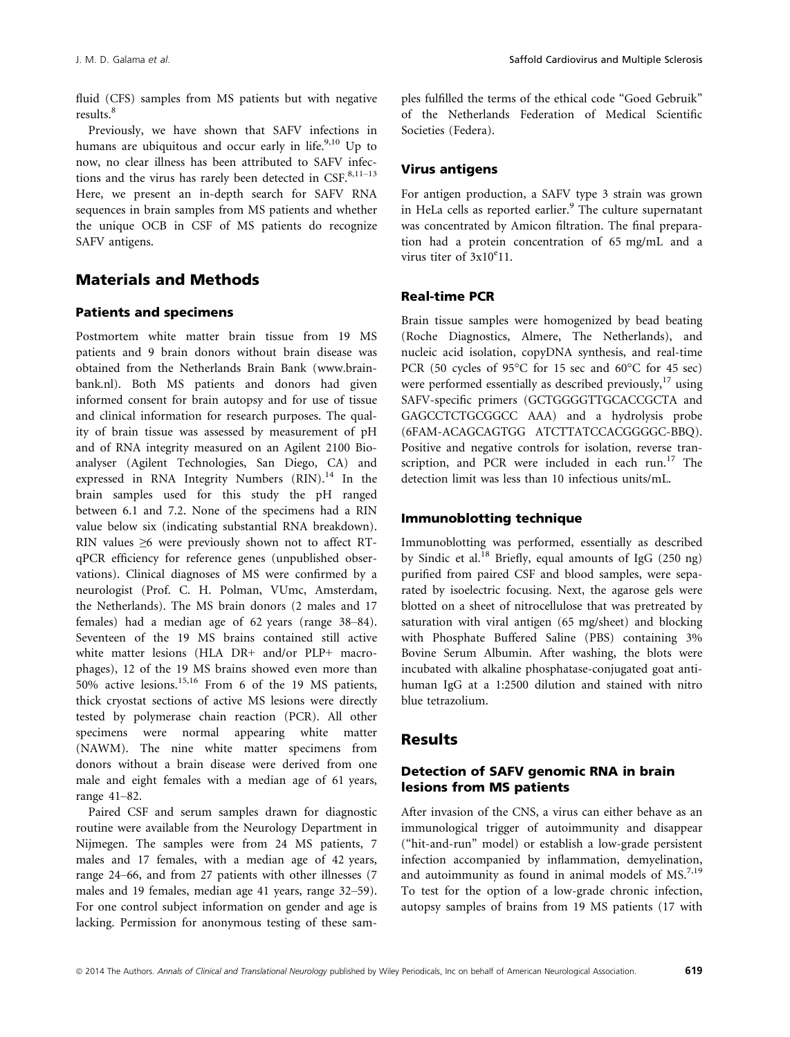fluid (CFS) samples from MS patients but with negative results.<sup>8</sup>

Previously, we have shown that SAFV infections in humans are ubiquitous and occur early in life. $9,10$  Up to now, no clear illness has been attributed to SAFV infections and the virus has rarely been detected in  $CSF^{8,11-13}$ . Here, we present an in-depth search for SAFV RNA sequences in brain samples from MS patients and whether the unique OCB in CSF of MS patients do recognize SAFV antigens.

# Materials and Methods

#### Patients and specimens

Postmortem white matter brain tissue from 19 MS patients and 9 brain donors without brain disease was obtained from the Netherlands Brain Bank (www.brainbank.nl). Both MS patients and donors had given informed consent for brain autopsy and for use of tissue and clinical information for research purposes. The quality of brain tissue was assessed by measurement of pH and of RNA integrity measured on an Agilent 2100 Bioanalyser (Agilent Technologies, San Diego, CA) and expressed in RNA Integrity Numbers  $(RIN).<sup>14</sup>$  In the brain samples used for this study the pH ranged between 6.1 and 7.2. None of the specimens had a RIN value below six (indicating substantial RNA breakdown). RIN values ≥6 were previously shown not to affect RTqPCR efficiency for reference genes (unpublished observations). Clinical diagnoses of MS were confirmed by a neurologist (Prof. C. H. Polman, VUmc, Amsterdam, the Netherlands). The MS brain donors (2 males and 17 females) had a median age of 62 years (range 38–84). Seventeen of the 19 MS brains contained still active white matter lesions (HLA DR+ and/or PLP+ macrophages), 12 of the 19 MS brains showed even more than 50% active lesions.15,16 From 6 of the 19 MS patients, thick cryostat sections of active MS lesions were directly tested by polymerase chain reaction (PCR). All other specimens were normal appearing white matter (NAWM). The nine white matter specimens from donors without a brain disease were derived from one male and eight females with a median age of 61 years, range 41–82.

Paired CSF and serum samples drawn for diagnostic routine were available from the Neurology Department in Nijmegen. The samples were from 24 MS patients, 7 males and 17 females, with a median age of 42 years, range 24–66, and from 27 patients with other illnesses (7 males and 19 females, median age 41 years, range 32–59). For one control subject information on gender and age is lacking. Permission for anonymous testing of these samples fulfilled the terms of the ethical code "Goed Gebruik" of the Netherlands Federation of Medical Scientific Societies (Federa).

#### Virus antigens

For antigen production, a SAFV type 3 strain was grown in HeLa cells as reported earlier.<sup>9</sup> The culture supernatant was concentrated by Amicon filtration. The final preparation had a protein concentration of 65 mg/mL and a virus titer of  $3x10^e11$ .

### Real-time PCR

Brain tissue samples were homogenized by bead beating (Roche Diagnostics, Almere, The Netherlands), and nucleic acid isolation, copyDNA synthesis, and real-time PCR (50 cycles of 95°C for 15 sec and 60°C for 45 sec) were performed essentially as described previously, $17$  using SAFV-specific primers (GCTGGGGTTGCACCGCTA and GAGCCTCTGCGGCC AAA) and a hydrolysis probe (6FAM-ACAGCAGTGG ATCTTATCCACGGGGC-BBQ). Positive and negative controls for isolation, reverse transcription, and PCR were included in each run.<sup>17</sup> The detection limit was less than 10 infectious units/mL.

### Immunoblotting technique

Immunoblotting was performed, essentially as described by Sindic et al.<sup>18</sup> Briefly, equal amounts of IgG (250 ng) purified from paired CSF and blood samples, were separated by isoelectric focusing. Next, the agarose gels were blotted on a sheet of nitrocellulose that was pretreated by saturation with viral antigen (65 mg/sheet) and blocking with Phosphate Buffered Saline (PBS) containing 3% Bovine Serum Albumin. After washing, the blots were incubated with alkaline phosphatase-conjugated goat antihuman IgG at a 1:2500 dilution and stained with nitro blue tetrazolium.

# Results

### Detection of SAFV genomic RNA in brain lesions from MS patients

After invasion of the CNS, a virus can either behave as an immunological trigger of autoimmunity and disappear ("hit-and-run" model) or establish a low-grade persistent infection accompanied by inflammation, demyelination, and autoimmunity as found in animal models of MS.<sup>7,19</sup> To test for the option of a low-grade chronic infection, autopsy samples of brains from 19 MS patients (17 with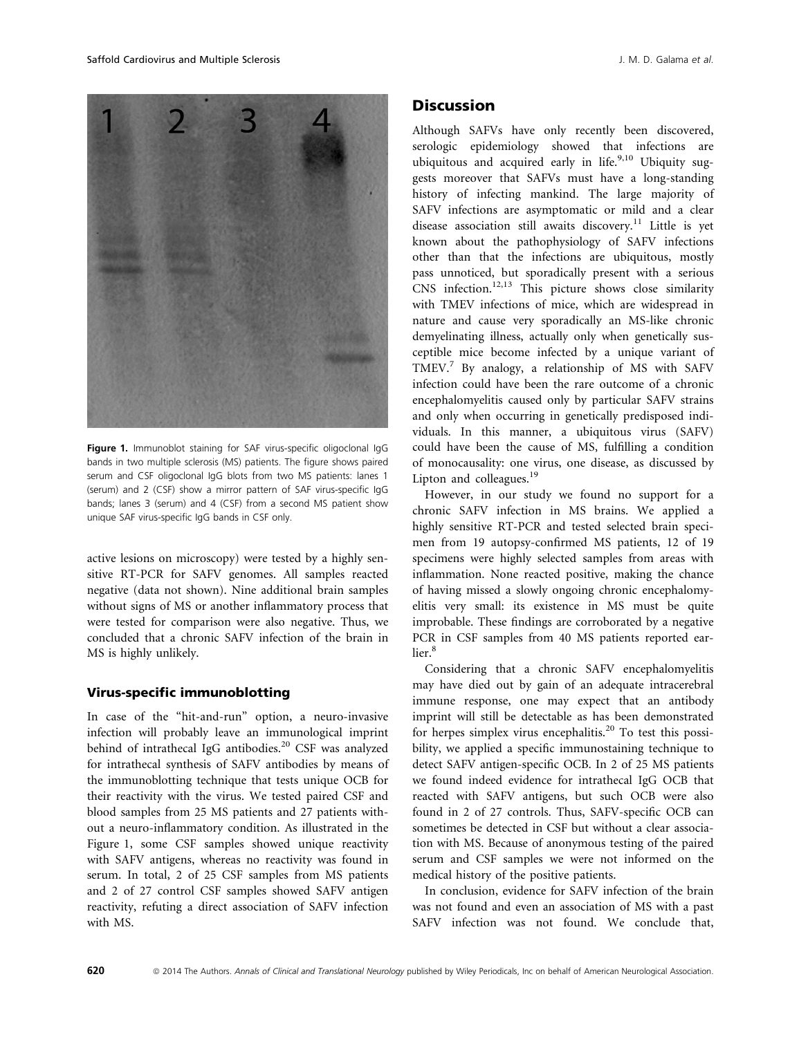

Figure 1. Immunoblot staining for SAF virus-specific oligoclonal IgG bands in two multiple sclerosis (MS) patients. The figure shows paired serum and CSF oligoclonal IgG blots from two MS patients: lanes 1 (serum) and 2 (CSF) show a mirror pattern of SAF virus-specific IgG bands; lanes 3 (serum) and 4 (CSF) from a second MS patient show unique SAF virus-specific IgG bands in CSF only.

active lesions on microscopy) were tested by a highly sensitive RT-PCR for SAFV genomes. All samples reacted negative (data not shown). Nine additional brain samples without signs of MS or another inflammatory process that were tested for comparison were also negative. Thus, we concluded that a chronic SAFV infection of the brain in MS is highly unlikely.

#### Virus-specific immunoblotting

In case of the "hit-and-run" option, a neuro-invasive infection will probably leave an immunological imprint behind of intrathecal IgG antibodies.<sup>20</sup> CSF was analyzed for intrathecal synthesis of SAFV antibodies by means of the immunoblotting technique that tests unique OCB for their reactivity with the virus. We tested paired CSF and blood samples from 25 MS patients and 27 patients without a neuro-inflammatory condition. As illustrated in the Figure 1, some CSF samples showed unique reactivity with SAFV antigens, whereas no reactivity was found in serum. In total, 2 of 25 CSF samples from MS patients and 2 of 27 control CSF samples showed SAFV antigen reactivity, refuting a direct association of SAFV infection with MS.

### **Discussion**

Although SAFVs have only recently been discovered, serologic epidemiology showed that infections are ubiquitous and acquired early in life.<sup>9,10</sup> Ubiquity suggests moreover that SAFVs must have a long-standing history of infecting mankind. The large majority of SAFV infections are asymptomatic or mild and a clear disease association still awaits discovery.<sup>11</sup> Little is yet known about the pathophysiology of SAFV infections other than that the infections are ubiquitous, mostly pass unnoticed, but sporadically present with a serious  $CNS$  infection.<sup>12,13</sup> This picture shows close similarity with TMEV infections of mice, which are widespread in nature and cause very sporadically an MS-like chronic demyelinating illness, actually only when genetically susceptible mice become infected by a unique variant of TMEV.7 By analogy, a relationship of MS with SAFV infection could have been the rare outcome of a chronic encephalomyelitis caused only by particular SAFV strains and only when occurring in genetically predisposed individuals. In this manner, a ubiquitous virus (SAFV) could have been the cause of MS, fulfilling a condition of monocausality: one virus, one disease, as discussed by Lipton and colleagues.<sup>19</sup>

However, in our study we found no support for a chronic SAFV infection in MS brains. We applied a highly sensitive RT-PCR and tested selected brain specimen from 19 autopsy-confirmed MS patients, 12 of 19 specimens were highly selected samples from areas with inflammation. None reacted positive, making the chance of having missed a slowly ongoing chronic encephalomyelitis very small: its existence in MS must be quite improbable. These findings are corroborated by a negative PCR in CSF samples from 40 MS patients reported earlier.<sup>8</sup>

Considering that a chronic SAFV encephalomyelitis may have died out by gain of an adequate intracerebral immune response, one may expect that an antibody imprint will still be detectable as has been demonstrated for herpes simplex virus encephalitis.<sup>20</sup> To test this possibility, we applied a specific immunostaining technique to detect SAFV antigen-specific OCB. In 2 of 25 MS patients we found indeed evidence for intrathecal IgG OCB that reacted with SAFV antigens, but such OCB were also found in 2 of 27 controls. Thus, SAFV-specific OCB can sometimes be detected in CSF but without a clear association with MS. Because of anonymous testing of the paired serum and CSF samples we were not informed on the medical history of the positive patients.

In conclusion, evidence for SAFV infection of the brain was not found and even an association of MS with a past SAFV infection was not found. We conclude that,